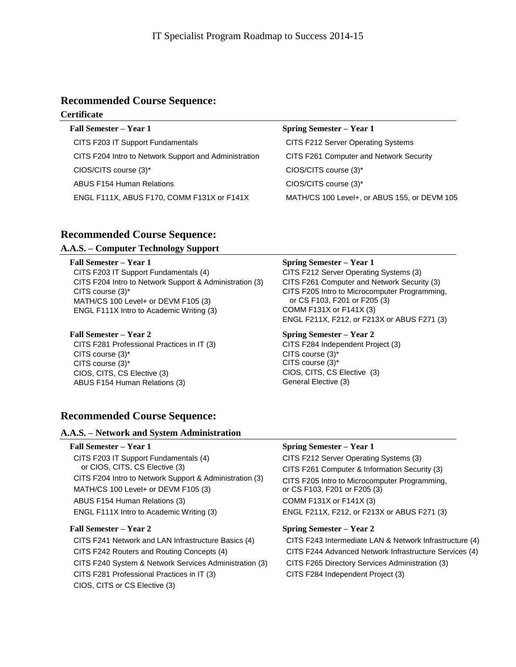# **Recommended Course Sequence:**

# **Certificate**

**Fall Semester – Year 1 Spring Semester – Year 1** CITS F203 IT Support Fundamentals CITS F212 Server Operating Systems CITS F204 Intro to Network Support and Administration CITS F261 Computer and Network Security CIOS/CITS course (3)\* CIOS/CITS course (3)\* ABUS F154 Human Relations **CIOS/CITS** course (3)\* ENGL F111X, ABUS F170, COMM F131X or F141X MATH/CS 100 Level+, or ABUS 155, or DEVM 105

# **Recommended Course Sequence:**

# **A.A.S. – Computer Technology Support**

CITS F203 IT Support Fundamentals (4) CITS F204 Intro to Network Support & Administration (3) CITS course (3)\* MATH/CS 100 Level+ or DEVM F105 (3) ENGL F111X Intro to Academic Writing (3)

### **Fall Semester – Year 2 Spring Semester – Year 2**

CITS F281 Professional Practices in IT (3) CITS course (3)\* CITS course (3)\* CIOS, CITS, CS Elective (3) ABUS F154 Human Relations (3)

### **Fall Semester – Year 1 Spring Semester – Year 1**

CITS F212 Server Operating Systems (3) CITS F261 Computer and Network Security (3) CITS F205 Intro to Microcomputer Programming, or CS F103, F201 or F205 (3) COMM F131X or F141X (3) ENGL F211X, F212, or F213X or ABUS F271 (3)

CITS F284 Independent Project (3) CITS course (3)\* CITS course (3)\* CIOS, CITS, CS Elective (3) General Elective (3)

# **Recommended Course Sequence:**

# **A.A.S. – Network and System Administration**

CITS F203 IT Support Fundamentals (4) or CIOS, CITS, CS Elective (3) CITS F204 Intro to Network Support & Administration (3) MATH/CS 100 Level+ or DEVM F105 (3) ABUS F154 Human Relations (3) ENGL F111X Intro to Academic Writing (3)

CITS F241 Network and LAN Infrastructure Basics (4) CITS F242 Routers and Routing Concepts (4) CITS F240 System & Network Services Administration (3) CITS F281 Professional Practices in IT (3) CIOS, CITS or CS Elective (3)

# **Fall Semester – Year 1 Spring Semester – Year 1**

CITS F212 Server Operating Systems (3) CITS F261 Computer & Information Security (3) CITS F205 Intro to Microcomputer Programming, or CS F103, F201 or F205 (3) COMM F131X or F141X (3) ENGL F211X, F212, or F213X or ABUS F271 (3)

# **Fall Semester – Year 2 Spring Semester – Year 2**

CITS F243 Intermediate LAN & Network Infrastructure (4) CITS F244 Advanced Network Infrastructure Services (4) CITS F265 Directory Services Administration (3) CITS F284 Independent Project (3)